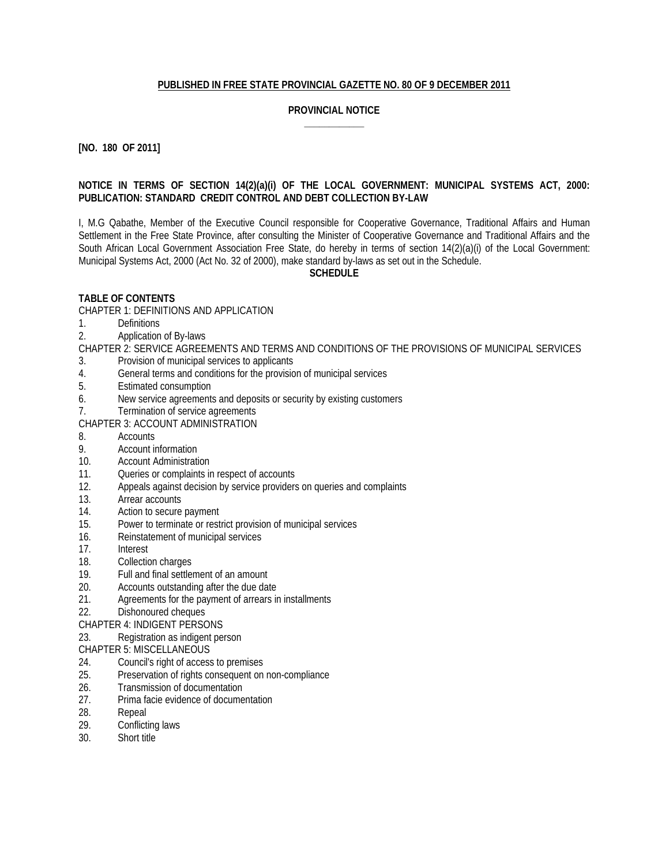## **PUBLISHED IN FREE STATE PROVINCIAL GAZETTE NO. 80 OF 9 DECEMBER 2011**

#### **PROVINCIAL NOTICE \_\_\_\_\_\_\_\_\_\_\_\_**

**[NO. 180 OF 2011]**

#### **NOTICE IN TERMS OF SECTION 14(2)(a)(i) OF THE LOCAL GOVERNMENT: MUNICIPAL SYSTEMS ACT, 2000: PUBLICATION: STANDARD CREDIT CONTROL AND DEBT COLLECTION BY-LAW**

I, M.G Qabathe, Member of the Executive Council responsible for Cooperative Governance, Traditional Affairs and Human Settlement in the Free State Province, after consulting the Minister of Cooperative Governance and Traditional Affairs and the South African Local Government Association Free State, do hereby in terms of section 14(2)(a)(i) of the Local Government: Municipal Systems Act, 2000 (Act No. 32 of 2000), make standard by-laws as set out in the Schedule.

**SCHEDULE**

## **TABLE OF CONTENTS**

CHAPTER 1: DEFINITIONS AND APPLICATION

- 1. Definitions
- 2. Application of By-laws

CHAPTER 2: SERVICE AGREEMENTS AND TERMS AND CONDITIONS OF THE PROVISIONS OF MUNICIPAL SERVICES

- 3. Provision of municipal services to applicants
- 4. General terms and conditions for the provision of municipal services<br>5. Estimated consumption
- 5. Estimated consumption
- 6. New service agreements and deposits or security by existing customers
- 7. Termination of service agreements

CHAPTER 3: ACCOUNT ADMINISTRATION

- 8. Accounts
- 9. Account information
- 10. Account Administration
- 11. Queries or complaints in respect of accounts
- 12. Appeals against decision by service providers on queries and complaints
- 13. Arrear accounts<br>14. Action to secure
- 14. Action to secure payment<br>15. Power to terminate or rest
- Power to terminate or restrict provision of municipal services
- 16. Reinstatement of municipal services
- 17. Interest
- 18. Collection charges
- 19. Full and final settlement of an amount
- 20. Accounts outstanding after the due date
- 21. Agreements for the payment of arrears in installments
- 22. Dishonoured cheques
- CHAPTER 4: INDIGENT PERSONS
- 23. Registration as indigent person

## CHAPTER 5: MISCELLANEOUS

- 24. Council's right of access to premises<br>25. Preservation of rights consequent on
- Preservation of rights consequent on non-compliance
- 26. Transmission of documentation
- 27. Prima facie evidence of documentation
- 28. Repeal
- 29. Conflicting laws
- 30. Short title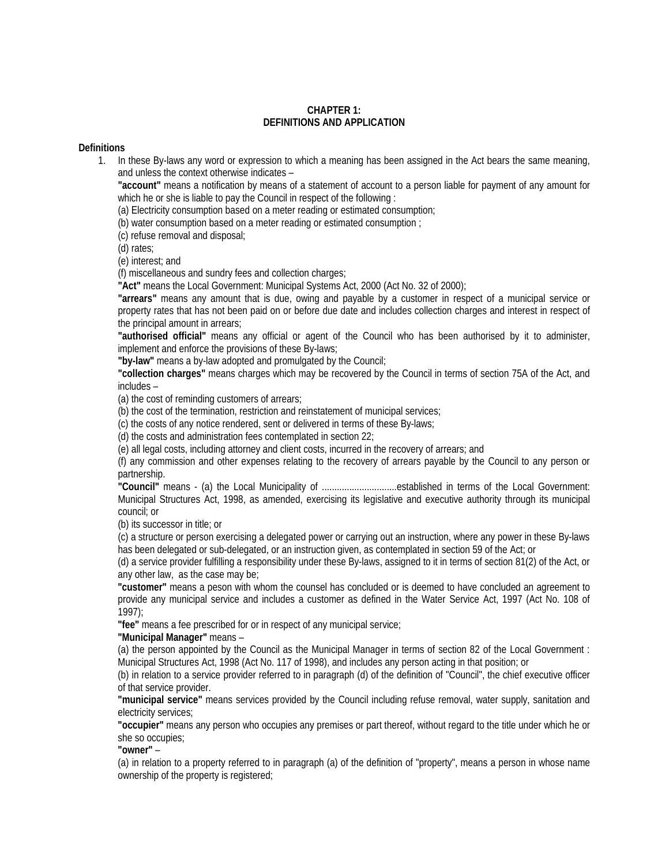#### **CHAPTER 1: DEFINITIONS AND APPLICATION**

#### **Definitions**

1. In these By-laws any word or expression to which a meaning has been assigned in the Act bears the same meaning, and unless the context otherwise indicates –

**"account"** means a notification by means of a statement of account to a person liable for payment of any amount for which he or she is liable to pay the Council in respect of the following :

(a) Electricity consumption based on a meter reading or estimated consumption;

(b) water consumption based on a meter reading or estimated consumption ;

(c) refuse removal and disposal;

(d) rates;

(e) interest; and

(f) miscellaneous and sundry fees and collection charges;

**"Act"** means the Local Government: Municipal Systems Act, 2000 (Act No. 32 of 2000);

**"arrears"** means any amount that is due, owing and payable by a customer in respect of a municipal service or property rates that has not been paid on or before due date and includes collection charges and interest in respect of the principal amount in arrears;

**"authorised official"** means any official or agent of the Council who has been authorised by it to administer, implement and enforce the provisions of these By-laws;

**"by-law"** means a by-law adopted and promulgated by the Council;

**"collection charges"** means charges which may be recovered by the Council in terms of section 75A of the Act, and includes –

(a) the cost of reminding customers of arrears;

(b) the cost of the termination, restriction and reinstatement of municipal services;

(c) the costs of any notice rendered, sent or delivered in terms of these By-laws;

(d) the costs and administration fees contemplated in section 22;

(e) all legal costs, including attorney and client costs, incurred in the recovery of arrears; and

(f) any commission and other expenses relating to the recovery of arrears payable by the Council to any person or partnership.

**"Council"** means - (a) the Local Municipality of ..............................established in terms of the Local Government: Municipal Structures Act, 1998, as amended, exercising its legislative and executive authority through its municipal council; or

(b) its successor in title; or

(c) a structure or person exercising a delegated power or carrying out an instruction, where any power in these By-laws has been delegated or sub-delegated, or an instruction given, as contemplated in section 59 of the Act; or

(d) a service provider fulfilling a responsibility under these By-laws, assigned to it in terms of section 81(2) of the Act, or any other law, as the case may be;

**"customer"** means a peson with whom the counsel has concluded or is deemed to have concluded an agreement to provide any municipal service and includes a customer as defined in the Water Service Act, 1997 (Act No. 108 of 1997);

**"fee"** means a fee prescribed for or in respect of any municipal service;

#### **"Municipal Manager"** means –

(a) the person appointed by the Council as the Municipal Manager in terms of section 82 of the Local Government : Municipal Structures Act, 1998 (Act No. 117 of 1998), and includes any person acting in that position; or

(b) in relation to a service provider referred to in paragraph (d) of the definition of "Council", the chief executive officer of that service provider.

**"municipal service"** means services provided by the Council including refuse removal, water supply, sanitation and electricity services;

**"occupier"** means any person who occupies any premises or part thereof, without regard to the title under which he or she so occupies;

**"owner"** –

(a) in relation to a property referred to in paragraph (a) of the definition of "property", means a person in whose name ownership of the property is registered;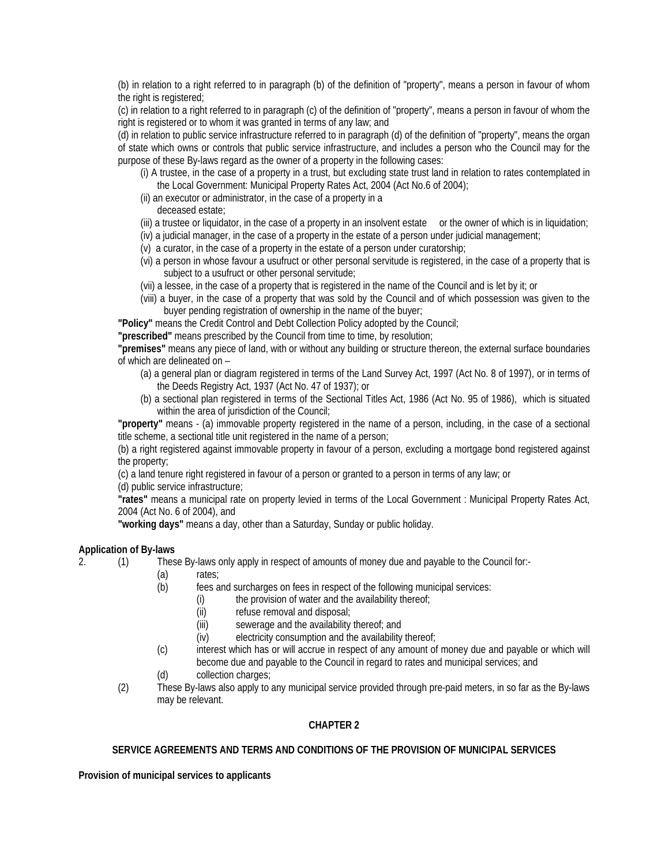(b) in relation to a right referred to in paragraph (b) of the definition of "property", means a person in favour of whom the right is registered;

(c) in relation to a right referred to in paragraph (c) of the definition of "property", means a person in favour of whom the right is registered or to whom it was granted in terms of any law; and

(d) in relation to public service infrastructure referred to in paragraph (d) of the definition of "property", means the organ of state which owns or controls that public service infrastructure, and includes a person who the Council may for the purpose of these By-laws regard as the owner of a property in the following cases:

- (i) A trustee, in the case of a property in a trust, but excluding state trust land in relation to rates contemplated in the Local Government: Municipal Property Rates Act, 2004 (Act No.6 of 2004);
- (ii) an executor or administrator, in the case of a property in a
	- deceased estate;
- (iii) a trustee or liquidator, in the case of a property in an insolvent estate or the owner of which is in liquidation;
- (iv) a judicial manager, in the case of a property in the estate of a person under judicial management;
- (v) a curator, in the case of a property in the estate of a person under curatorship;
- (vi) a person in whose favour a usufruct or other personal servitude is registered, in the case of a property that is subject to a usufruct or other personal servitude;
- (vii) a lessee, in the case of a property that is registered in the name of the Council and is let by it; or
- (viii) a buyer, in the case of a property that was sold by the Council and of which possession was given to the buyer pending registration of ownership in the name of the buyer;

**"Policy"** means the Credit Control and Debt Collection Policy adopted by the Council;

**"prescribed"** means prescribed by the Council from time to time, by resolution;

**"premises"** means any piece of land, with or without any building or structure thereon, the external surface boundaries of which are delineated on –

- (a) a general plan or diagram registered in terms of the Land Survey Act, 1997 (Act No. 8 of 1997), or in terms of the Deeds Registry Act, 1937 (Act No. 47 of 1937); or
- (b) a sectional plan registered in terms of the Sectional Titles Act, 1986 (Act No. 95 of 1986), which is situated within the area of jurisdiction of the Council;

**"property"** means - (a) immovable property registered in the name of a person, including, in the case of a sectional title scheme, a sectional title unit registered in the name of a person;

(b) a right registered against immovable property in favour of a person, excluding a mortgage bond registered against the property;

(c) a land tenure right registered in favour of a person or granted to a person in terms of any law; or

(d) public service infrastructure;

**"rates"** means a municipal rate on property levied in terms of the Local Government : Municipal Property Rates Act, 2004 (Act No. 6 of 2004), and

**"working days"** means a day, other than a Saturday, Sunday or public holiday.

## **Application of By-laws**

2. (1) These By-laws only apply in respect of amounts of money due and payable to the Council for:-

- (a) rates;
- (b) fees and surcharges on fees in respect of the following municipal services:
	- (i) the provision of water and the availability thereof;
	- (ii) refuse removal and disposal;
	- (iii) sewerage and the availability thereof; and
	- (iv) electricity consumption and the availability thereof;
- (c) interest which has or will accrue in respect of any amount of money due and payable or which will become due and payable to the Council in regard to rates and municipal services; and
- (d) collection charges;
- (2) These By-laws also apply to any municipal service provided through pre-paid meters, in so far as the By-laws may be relevant.

## **CHAPTER 2**

## **SERVICE AGREEMENTS AND TERMS AND CONDITIONS OF THE PROVISION OF MUNICIPAL SERVICES**

**Provision of municipal services to applicants**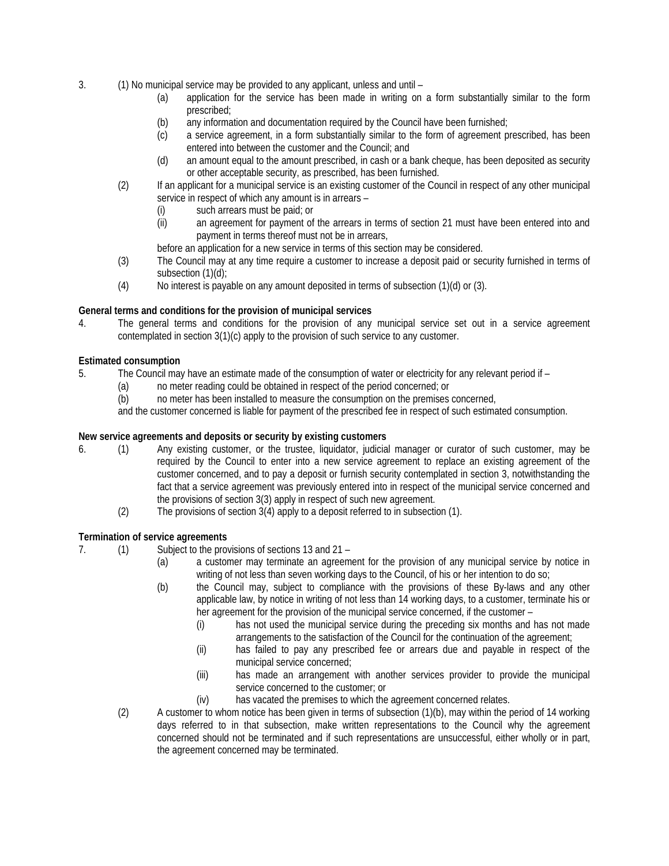- 3. (1) No municipal service may be provided to any applicant, unless and until
	- (a) application for the service has been made in writing on a form substantially similar to the form prescribed;
	- (b) any information and documentation required by the Council have been furnished;
	- (c) a service agreement, in a form substantially similar to the form of agreement prescribed, has been entered into between the customer and the Council; and
	- (d) an amount equal to the amount prescribed, in cash or a bank cheque, has been deposited as security or other acceptable security, as prescribed, has been furnished.
	- (2) If an applicant for a municipal service is an existing customer of the Council in respect of any other municipal service in respect of which any amount is in arrears –
		- (i) such arrears must be paid; or
		- (ii) an agreement for payment of the arrears in terms of section 21 must have been entered into and payment in terms thereof must not be in arrears,
		- before an application for a new service in terms of this section may be considered.
	- (3) The Council may at any time require a customer to increase a deposit paid or security furnished in terms of subsection (1)(d);
	- (4) No interest is payable on any amount deposited in terms of subsection (1)(d) or (3).

## **General terms and conditions for the provision of municipal services**

4. The general terms and conditions for the provision of any municipal service set out in a service agreement contemplated in section 3(1)(c) apply to the provision of such service to any customer.

## **Estimated consumption**

- 5. The Council may have an estimate made of the consumption of water or electricity for any relevant period if
	- (a) no meter reading could be obtained in respect of the period concerned; or
	- (b) no meter has been installed to measure the consumption on the premises concerned,

and the customer concerned is liable for payment of the prescribed fee in respect of such estimated consumption.

#### **New service agreements and deposits or security by existing customers**

- 6. (1) Any existing customer, or the trustee, liquidator, judicial manager or curator of such customer, may be required by the Council to enter into a new service agreement to replace an existing agreement of the customer concerned, and to pay a deposit or furnish security contemplated in section 3, notwithstanding the fact that a service agreement was previously entered into in respect of the municipal service concerned and the provisions of section 3(3) apply in respect of such new agreement.
	- (2) The provisions of section 3(4) apply to a deposit referred to in subsection (1).

## **Termination of service agreements**

- 7. (1) Subject to the provisions of sections 13 and 21
	- (a) a customer may terminate an agreement for the provision of any municipal service by notice in writing of not less than seven working days to the Council, of his or her intention to do so;
	- (b) the Council may, subject to compliance with the provisions of these By-laws and any other applicable law, by notice in writing of not less than 14 working days, to a customer, terminate his or her agreement for the provision of the municipal service concerned, if the customer –
		- (i) has not used the municipal service during the preceding six months and has not made arrangements to the satisfaction of the Council for the continuation of the agreement;
		- (ii) has failed to pay any prescribed fee or arrears due and payable in respect of the municipal service concerned;
		- (iii) has made an arrangement with another services provider to provide the municipal service concerned to the customer; or
		- (iv) has vacated the premises to which the agreement concerned relates.
	- (2) A customer to whom notice has been given in terms of subsection (1)(b), may within the period of 14 working days referred to in that subsection, make written representations to the Council why the agreement concerned should not be terminated and if such representations are unsuccessful, either wholly or in part, the agreement concerned may be terminated.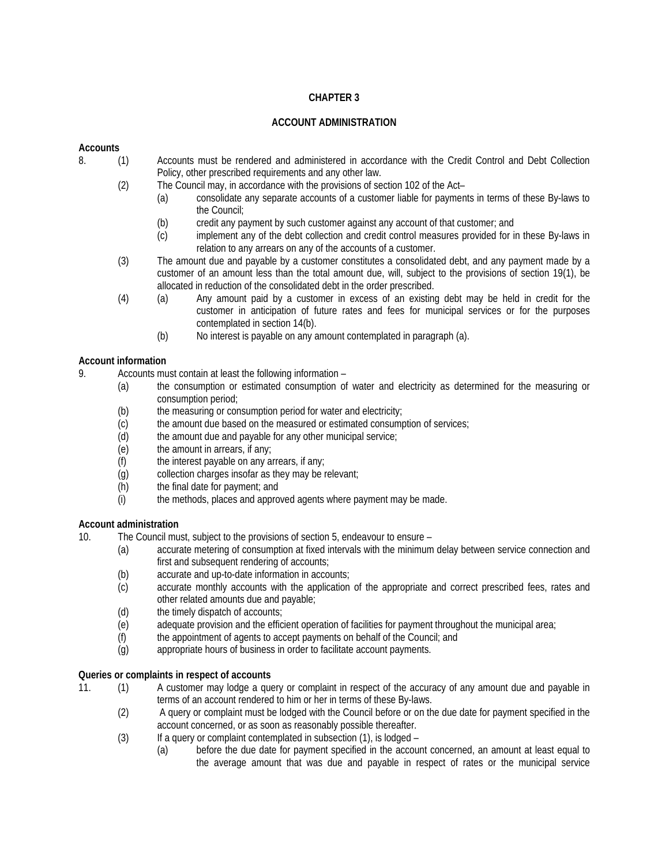## **CHAPTER 3**

## **ACCOUNT ADMINISTRATION**

## **Accounts**

- 8. (1) Accounts must be rendered and administered in accordance with the Credit Control and Debt Collection Policy, other prescribed requirements and any other law.
	- (2) The Council may, in accordance with the provisions of section 102 of the Act–
		- (a) consolidate any separate accounts of a customer liable for payments in terms of these By-laws to the Council;
		- (b) credit any payment by such customer against any account of that customer; and (c) implement any of the debt collection and credit control measures provided for in
		- implement any of the debt collection and credit control measures provided for in these By-laws in relation to any arrears on any of the accounts of a customer.
	- (3) The amount due and payable by a customer constitutes a consolidated debt, and any payment made by a customer of an amount less than the total amount due, will, subject to the provisions of section 19(1), be allocated in reduction of the consolidated debt in the order prescribed.
	- (4) (a) Any amount paid by a customer in excess of an existing debt may be held in credit for the customer in anticipation of future rates and fees for municipal services or for the purposes contemplated in section 14(b).
		- (b) No interest is payable on any amount contemplated in paragraph (a).

## **Account information**

- 9. Accounts must contain at least the following information
	- (a) the consumption or estimated consumption of water and electricity as determined for the measuring or consumption period;
	- (b) the measuring or consumption period for water and electricity;
	- (c) the amount due based on the measured or estimated consumption of services;
	- (d) the amount due and payable for any other municipal service;
	- (e) the amount in arrears, if any;
	- $(f)$  the interest payable on any arrears, if any;
	- (g) collection charges insofar as they may be relevant;
	- (h) the final date for payment; and
	- (i) the methods, places and approved agents where payment may be made.

#### **Account administration**

10. The Council must, subject to the provisions of section 5, endeavour to ensure –

- (a) accurate metering of consumption at fixed intervals with the minimum delay between service connection and first and subsequent rendering of accounts;
	- (b) accurate and up-to-date information in accounts;
	- (c) accurate monthly accounts with the application of the appropriate and correct prescribed fees, rates and other related amounts due and payable;
	- (d) the timely dispatch of accounts;
	- (e) adequate provision and the efficient operation of facilities for payment throughout the municipal area;
	- (f) the appointment of agents to accept payments on behalf of the Council; and
	- (g) appropriate hours of business in order to facilitate account payments.

#### **Queries or complaints in respect of accounts**

- 11. (1) A customer may lodge a query or complaint in respect of the accuracy of any amount due and payable in terms of an account rendered to him or her in terms of these By-laws.
	- (2) A query or complaint must be lodged with the Council before or on the due date for payment specified in the account concerned, or as soon as reasonably possible thereafter.
	- (3) If a query or complaint contemplated in subsection (1), is lodged
		- (a) before the due date for payment specified in the account concerned, an amount at least equal to the average amount that was due and payable in respect of rates or the municipal service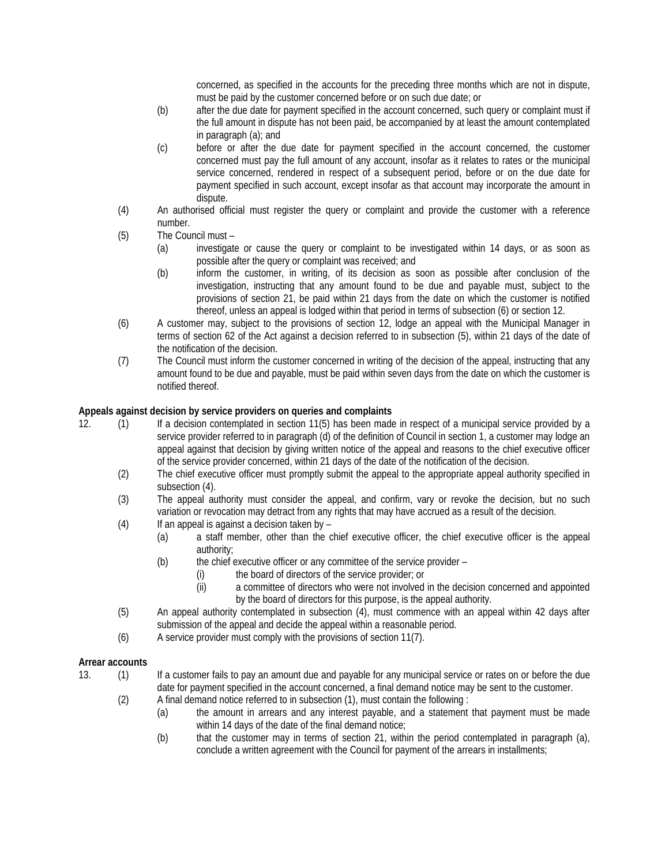concerned, as specified in the accounts for the preceding three months which are not in dispute, must be paid by the customer concerned before or on such due date; or

- (b) after the due date for payment specified in the account concerned, such query or complaint must if the full amount in dispute has not been paid, be accompanied by at least the amount contemplated in paragraph (a); and
- (c) before or after the due date for payment specified in the account concerned, the customer concerned must pay the full amount of any account, insofar as it relates to rates or the municipal service concerned, rendered in respect of a subsequent period, before or on the due date for payment specified in such account, except insofar as that account may incorporate the amount in dispute.
- (4) An authorised official must register the query or complaint and provide the customer with a reference number.
- (5) The Council must
	- (a) investigate or cause the query or complaint to be investigated within 14 days, or as soon as possible after the query or complaint was received; and
	- (b) inform the customer, in writing, of its decision as soon as possible after conclusion of the investigation, instructing that any amount found to be due and payable must, subject to the provisions of section 21, be paid within 21 days from the date on which the customer is notified thereof, unless an appeal is lodged within that period in terms of subsection (6) or section 12.
- (6) A customer may, subject to the provisions of section 12, lodge an appeal with the Municipal Manager in terms of section 62 of the Act against a decision referred to in subsection (5), within 21 days of the date of the notification of the decision.
- (7) The Council must inform the customer concerned in writing of the decision of the appeal, instructing that any amount found to be due and payable, must be paid within seven days from the date on which the customer is notified thereof.

## **Appeals against decision by service providers on queries and complaints**

- 12. (1) If a decision contemplated in section 11(5) has been made in respect of a municipal service provided by a service provider referred to in paragraph (d) of the definition of Council in section 1, a customer may lodge an appeal against that decision by giving written notice of the appeal and reasons to the chief executive officer of the service provider concerned, within 21 days of the date of the notification of the decision.
	- (2) The chief executive officer must promptly submit the appeal to the appropriate appeal authority specified in subsection (4).
	- (3) The appeal authority must consider the appeal, and confirm, vary or revoke the decision, but no such variation or revocation may detract from any rights that may have accrued as a result of the decision.
	- $(4)$  If an appeal is against a decision taken by
		- (a) a staff member, other than the chief executive officer, the chief executive officer is the appeal authority;
			- (b) the chief executive officer or any committee of the service provider
				- (i) the board of directors of the service provider; or
				- (ii) a committee of directors who were not involved in the decision concerned and appointed by the board of directors for this purpose, is the appeal authority.
	- (5) An appeal authority contemplated in subsection (4), must commence with an appeal within 42 days after submission of the appeal and decide the appeal within a reasonable period.
	- (6) A service provider must comply with the provisions of section 11(7).

# Arrear accounts<br>13. (1)

- 13. (1) If a customer fails to pay an amount due and payable for any municipal service or rates on or before the due date for payment specified in the account concerned, a final demand notice may be sent to the customer.
	- (2) A final demand notice referred to in subsection (1), must contain the following :
		- (a) the amount in arrears and any interest payable, and a statement that payment must be made within 14 days of the date of the final demand notice;
		- (b) that the customer may in terms of section 21, within the period contemplated in paragraph (a), conclude a written agreement with the Council for payment of the arrears in installments;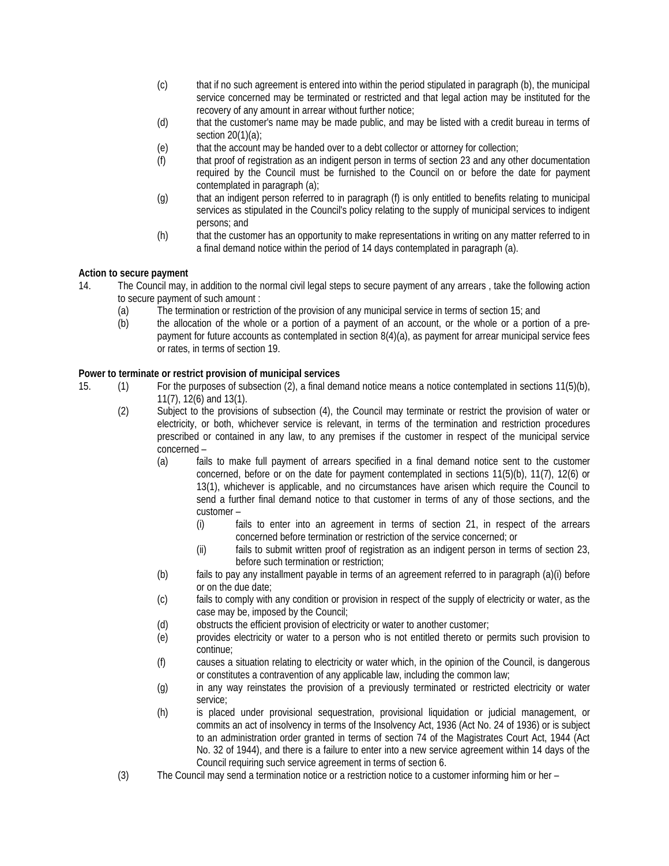- (c) that if no such agreement is entered into within the period stipulated in paragraph (b), the municipal service concerned may be terminated or restricted and that legal action may be instituted for the recovery of any amount in arrear without further notice;
- (d) that the customer's name may be made public, and may be listed with a credit bureau in terms of section 20(1)(a);
- (e) that the account may be handed over to a debt collector or attorney for collection;
- (f) that proof of registration as an indigent person in terms of section 23 and any other documentation required by the Council must be furnished to the Council on or before the date for payment contemplated in paragraph (a);
- (g) that an indigent person referred to in paragraph (f) is only entitled to benefits relating to municipal services as stipulated in the Council's policy relating to the supply of municipal services to indigent persons; and
- (h) that the customer has an opportunity to make representations in writing on any matter referred to in a final demand notice within the period of 14 days contemplated in paragraph (a).

## **Action to secure payment**

- 14. The Council may, in addition to the normal civil legal steps to secure payment of any arrears , take the following action to secure payment of such amount :
	- (a) The termination or restriction of the provision of any municipal service in terms of section 15; and
	- (b) the allocation of the whole or a portion of a payment of an account, or the whole or a portion of a prepayment for future accounts as contemplated in section 8(4)(a), as payment for arrear municipal service fees or rates, in terms of section 19.

## **Power to terminate or restrict provision of municipal services**

- 15. (1) For the purposes of subsection (2), a final demand notice means a notice contemplated in sections 11(5)(b), 11(7), 12(6) and 13(1).
	- (2) Subject to the provisions of subsection (4), the Council may terminate or restrict the provision of water or electricity, or both, whichever service is relevant, in terms of the termination and restriction procedures prescribed or contained in any law, to any premises if the customer in respect of the municipal service concerned –
		- (a) fails to make full payment of arrears specified in a final demand notice sent to the customer concerned, before or on the date for payment contemplated in sections 11(5)(b), 11(7), 12(6) or 13(1), whichever is applicable, and no circumstances have arisen which require the Council to send a further final demand notice to that customer in terms of any of those sections, and the customer –
			- (i) fails to enter into an agreement in terms of section 21, in respect of the arrears concerned before termination or restriction of the service concerned; or
			- (ii) fails to submit written proof of registration as an indigent person in terms of section 23, before such termination or restriction;
		- (b) fails to pay any installment payable in terms of an agreement referred to in paragraph (a)(i) before or on the due date;
		- (c) fails to comply with any condition or provision in respect of the supply of electricity or water, as the case may be, imposed by the Council;
		- (d) obstructs the efficient provision of electricity or water to another customer;
		- (e) provides electricity or water to a person who is not entitled thereto or permits such provision to continue;
		- (f) causes a situation relating to electricity or water which, in the opinion of the Council, is dangerous or constitutes a contravention of any applicable law, including the common law;
		- (g) in any way reinstates the provision of a previously terminated or restricted electricity or water service;
		- (h) is placed under provisional sequestration, provisional liquidation or judicial management, or commits an act of insolvency in terms of the Insolvency Act, 1936 (Act No. 24 of 1936) or is subject to an administration order granted in terms of section 74 of the Magistrates Court Act, 1944 (Act No. 32 of 1944), and there is a failure to enter into a new service agreement within 14 days of the Council requiring such service agreement in terms of section 6.
	- (3) The Council may send a termination notice or a restriction notice to a customer informing him or her –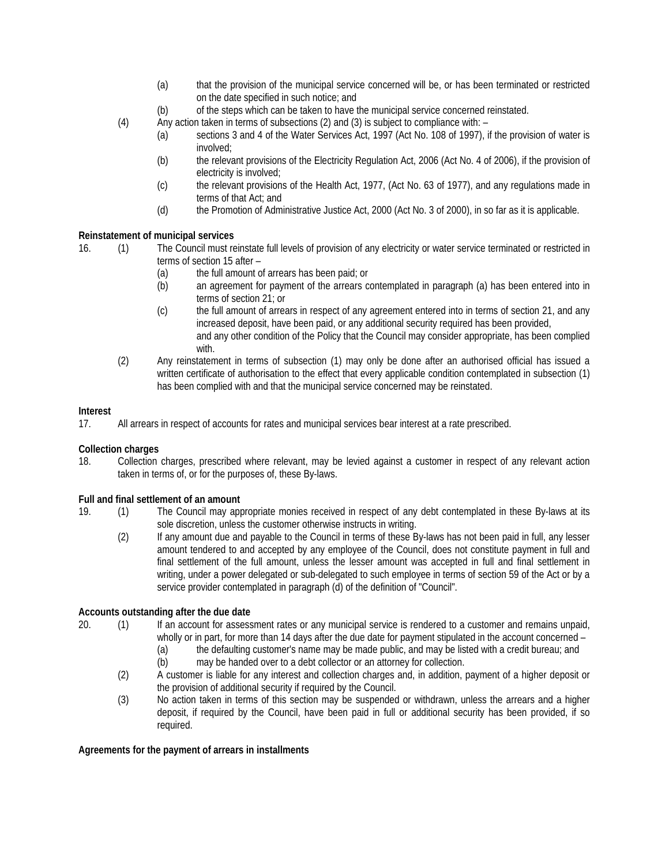- (a) that the provision of the municipal service concerned will be, or has been terminated or restricted on the date specified in such notice; and
- (b) of the steps which can be taken to have the municipal service concerned reinstated.
- (4) Any action taken in terms of subsections (2) and (3) is subject to compliance with:
	- (a) sections 3 and 4 of the Water Services Act, 1997 (Act No. 108 of 1997), if the provision of water is involved;
		- (b) the relevant provisions of the Electricity Regulation Act, 2006 (Act No. 4 of 2006), if the provision of electricity is involved;
		- (c) the relevant provisions of the Health Act, 1977, (Act No. 63 of 1977), and any regulations made in terms of that Act; and
		- (d) the Promotion of Administrative Justice Act, 2000 (Act No. 3 of 2000), in so far as it is applicable.

## **Reinstatement of municipal services**

- 16. (1) The Council must reinstate full levels of provision of any electricity or water service terminated or restricted in terms of section 15 after –
	- (a) the full amount of arrears has been paid; or
	- (b) an agreement for payment of the arrears contemplated in paragraph (a) has been entered into in terms of section 21; or
	- (c) the full amount of arrears in respect of any agreement entered into in terms of section 21, and any increased deposit, have been paid, or any additional security required has been provided, and any other condition of the Policy that the Council may consider appropriate, has been complied with.
	- (2) Any reinstatement in terms of subsection (1) may only be done after an authorised official has issued a written certificate of authorisation to the effect that every applicable condition contemplated in subsection (1) has been complied with and that the municipal service concerned may be reinstated.

## **Interest**

17. All arrears in respect of accounts for rates and municipal services bear interest at a rate prescribed.

#### **Collection charges**

18. Collection charges, prescribed where relevant, may be levied against a customer in respect of any relevant action taken in terms of, or for the purposes of, these By-laws.

# **Full and final settlement of an amount**<br>19. (1) The Council may approximate

- 19. (1) The Council may appropriate monies received in respect of any debt contemplated in these By-laws at its sole discretion, unless the customer otherwise instructs in writing.
	- (2) If any amount due and payable to the Council in terms of these By-laws has not been paid in full, any lesser amount tendered to and accepted by any employee of the Council, does not constitute payment in full and final settlement of the full amount, unless the lesser amount was accepted in full and final settlement in writing, under a power delegated or sub-delegated to such employee in terms of section 59 of the Act or by a service provider contemplated in paragraph (d) of the definition of "Council".

#### **Accounts outstanding after the due date**

- 20. (1) If an account for assessment rates or any municipal service is rendered to a customer and remains unpaid, wholly or in part, for more than 14 days after the due date for payment stipulated in the account concerned –
	- (a) the defaulting customer's name may be made public, and may be listed with a credit bureau; and
	- (b) may be handed over to a debt collector or an attorney for collection.
	- (2) A customer is liable for any interest and collection charges and, in addition, payment of a higher deposit or the provision of additional security if required by the Council.
	- (3) No action taken in terms of this section may be suspended or withdrawn, unless the arrears and a higher deposit, if required by the Council, have been paid in full or additional security has been provided, if so required.

#### **Agreements for the payment of arrears in installments**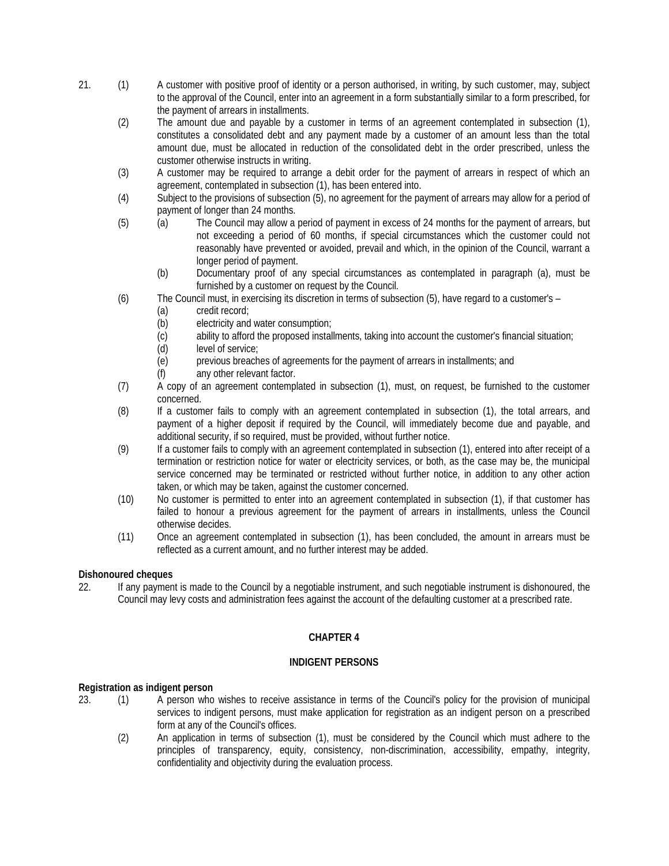- 21. (1) A customer with positive proof of identity or a person authorised, in writing, by such customer, may, subject to the approval of the Council, enter into an agreement in a form substantially similar to a form prescribed, for the payment of arrears in installments.
	- (2) The amount due and payable by a customer in terms of an agreement contemplated in subsection (1), constitutes a consolidated debt and any payment made by a customer of an amount less than the total amount due, must be allocated in reduction of the consolidated debt in the order prescribed, unless the customer otherwise instructs in writing.
	- (3) A customer may be required to arrange a debit order for the payment of arrears in respect of which an agreement, contemplated in subsection (1), has been entered into.
	- (4) Subject to the provisions of subsection (5), no agreement for the payment of arrears may allow for a period of payment of longer than 24 months.
	- (5) (a) The Council may allow a period of payment in excess of 24 months for the payment of arrears, but not exceeding a period of 60 months, if special circumstances which the customer could not reasonably have prevented or avoided, prevail and which, in the opinion of the Council, warrant a longer period of payment.
		- (b) Documentary proof of any special circumstances as contemplated in paragraph (a), must be furnished by a customer on request by the Council.
	- (6) The Council must, in exercising its discretion in terms of subsection (5), have regard to a customer's
		- (a) credit record;
		- (b) electricity and water consumption;
		- (c) ability to afford the proposed installments, taking into account the customer's financial situation;<br>(d) level of service;
		- level of service;
		- (e) previous breaches of agreements for the payment of arrears in installments; and
		- (f) any other relevant factor.
	- (7) A copy of an agreement contemplated in subsection (1), must, on request, be furnished to the customer concerned.
	- (8) If a customer fails to comply with an agreement contemplated in subsection (1), the total arrears, and payment of a higher deposit if required by the Council, will immediately become due and payable, and additional security, if so required, must be provided, without further notice.
	- (9) If a customer fails to comply with an agreement contemplated in subsection (1), entered into after receipt of a termination or restriction notice for water or electricity services, or both, as the case may be, the municipal service concerned may be terminated or restricted without further notice, in addition to any other action taken, or which may be taken, against the customer concerned.
	- (10) No customer is permitted to enter into an agreement contemplated in subsection (1), if that customer has failed to honour a previous agreement for the payment of arrears in installments, unless the Council otherwise decides.
	- (11) Once an agreement contemplated in subsection (1), has been concluded, the amount in arrears must be reflected as a current amount, and no further interest may be added.

#### **Dishonoured cheques**

22. If any payment is made to the Council by a negotiable instrument, and such negotiable instrument is dishonoured, the Council may levy costs and administration fees against the account of the defaulting customer at a prescribed rate.

## **CHAPTER 4**

#### **INDIGENT PERSONS**

#### **Registration as indigent person**

- 23. (1) A person who wishes to receive assistance in terms of the Council's policy for the provision of municipal services to indigent persons, must make application for registration as an indigent person on a prescribed form at any of the Council's offices.
	- (2) An application in terms of subsection (1), must be considered by the Council which must adhere to the principles of transparency, equity, consistency, non-discrimination, accessibility, empathy, integrity, confidentiality and objectivity during the evaluation process.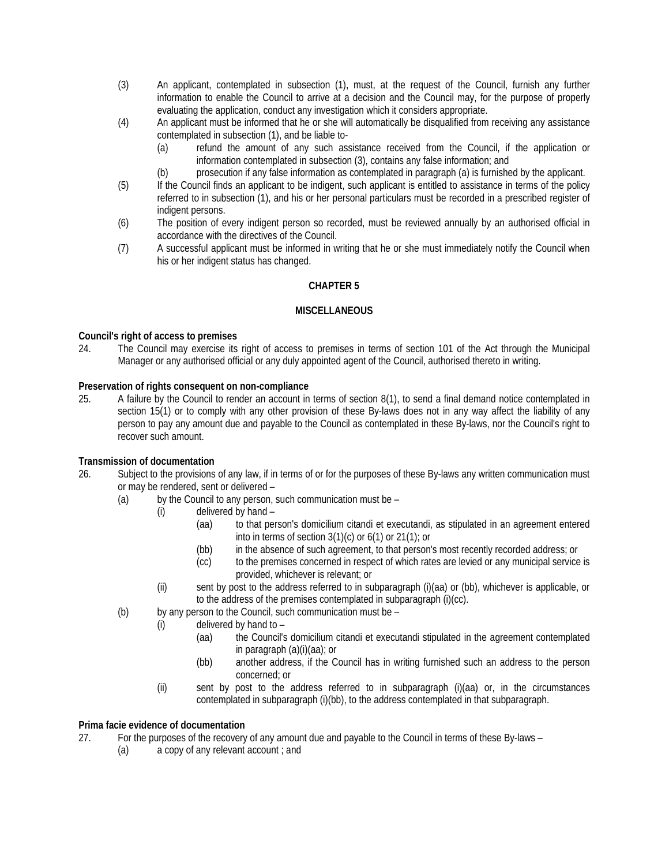- (3) An applicant, contemplated in subsection (1), must, at the request of the Council, furnish any further information to enable the Council to arrive at a decision and the Council may, for the purpose of properly evaluating the application, conduct any investigation which it considers appropriate.
- (4) An applicant must be informed that he or she will automatically be disqualified from receiving any assistance contemplated in subsection (1), and be liable to-
	- (a) refund the amount of any such assistance received from the Council, if the application or information contemplated in subsection (3), contains any false information; and
	- (b) prosecution if any false information as contemplated in paragraph (a) is furnished by the applicant.
- (5) If the Council finds an applicant to be indigent, such applicant is entitled to assistance in terms of the policy referred to in subsection (1), and his or her personal particulars must be recorded in a prescribed register of indigent persons.
- (6) The position of every indigent person so recorded, must be reviewed annually by an authorised official in accordance with the directives of the Council.
- (7) A successful applicant must be informed in writing that he or she must immediately notify the Council when his or her indigent status has changed.

## **CHAPTER 5**

#### **MISCELLANEOUS**

#### **Council's right of access to premises**

24. The Council may exercise its right of access to premises in terms of section 101 of the Act through the Municipal Manager or any authorised official or any duly appointed agent of the Council, authorised thereto in writing.

## **Preservation of rights consequent on non-compliance**

25. A failure by the Council to render an account in terms of section 8(1), to send a final demand notice contemplated in section 15(1) or to comply with any other provision of these By-laws does not in any way affect the liability of any person to pay any amount due and payable to the Council as contemplated in these By-laws, nor the Council's right to recover such amount.

## **Transmission of documentation**

- 26. Subject to the provisions of any law, if in terms of or for the purposes of these By-laws any written communication must or may be rendered, sent or delivered –
	- (a) by the Council to any person, such communication must be  $-$ 
		- (i) delivered by hand
			- (aa) to that person's domicilium citandi et executandi, as stipulated in an agreement entered into in terms of section 3(1)(c) or 6(1) or 21(1); or
			- (bb) in the absence of such agreement, to that person's most recently recorded address; or
			- (cc) to the premises concerned in respect of which rates are levied or any municipal service is provided, whichever is relevant; or
		- (ii) sent by post to the address referred to in subparagraph (i)(aa) or (bb), whichever is applicable, or to the address of the premises contemplated in subparagraph (i)(cc).
	- (b) by any person to the Council, such communication must be
		- (i) delivered by hand to
			- (aa) the Council's domicilium citandi et executandi stipulated in the agreement contemplated in paragraph (a)(i)(aa); or
			- (bb) another address, if the Council has in writing furnished such an address to the person concerned; or
		- (ii) sent by post to the address referred to in subparagraph (i)(aa) or, in the circumstances contemplated in subparagraph (i)(bb), to the address contemplated in that subparagraph.

#### **Prima facie evidence of documentation**

- 27. For the purposes of the recovery of any amount due and payable to the Council in terms of these By-laws
	- (a) a copy of any relevant account ; and